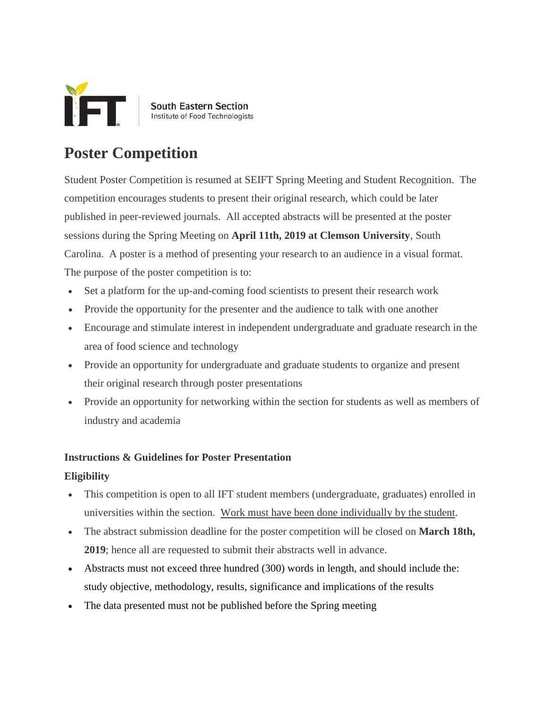

# **Poster Competition**

Student Poster Competition is resumed at SEIFT Spring Meeting and Student Recognition. The competition encourages students to present their original research, which could be later published in peer-reviewed journals. All accepted abstracts will be presented at the poster sessions during the Spring Meeting on **April 11th, 2019 at Clemson University**, South Carolina. A poster is a method of presenting your research to an audience in a visual format. The purpose of the poster competition is to:

- Set a platform for the up-and-coming food scientists to present their research work
- Provide the opportunity for the presenter and the audience to talk with one another
- Encourage and stimulate interest in independent undergraduate and graduate research in the area of food science and technology
- Provide an opportunity for undergraduate and graduate students to organize and present their original research through poster presentations
- Provide an opportunity for networking within the section for students as well as members of industry and academia

#### **Instructions & Guidelines for Poster Presentation**

# **Eligibility**

- This competition is open to all IFT student members (undergraduate, graduates) enrolled in universities within the section. Work must have been done individually by the student.
- The abstract submission deadline for the poster competition will be closed on **March 18th, 2019**; hence all are requested to submit their abstracts well in advance.
- Abstracts must not exceed three hundred (300) words in length, and should include the: study objective, methodology, results, significance and implications of the results
- The data presented must not be published before the Spring meeting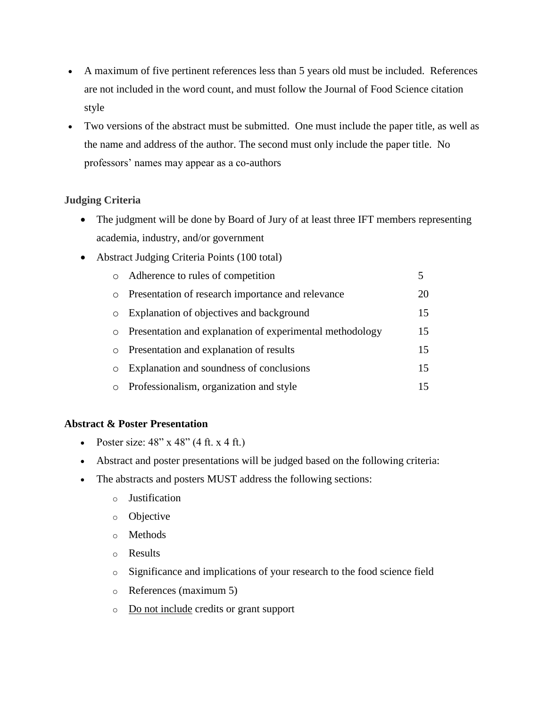- A maximum of five pertinent references less than 5 years old must be included. References are not included in the word count, and must follow the Journal of Food Science citation style
- Two versions of the abstract must be submitted. One must include the paper title, as well as the name and address of the author. The second must only include the paper title. No professors' names may appear as a co-authors

### **Judging Criteria**

- The judgment will be done by Board of Jury of at least three IFT members representing academia, industry, and/or government
- Abstract Judging Criteria Points (100 total)

|         | • Adherence to rules of competition                      |    |
|---------|----------------------------------------------------------|----|
| $\circ$ | Presentation of research importance and relevance        | 20 |
| $\circ$ | Explanation of objectives and background                 | 15 |
| $\circ$ | Presentation and explanation of experimental methodology | 15 |
|         | • Presentation and explanation of results                | 15 |
| $\circ$ | Explanation and soundness of conclusions                 | 15 |
| $\circ$ | Professionalism, organization and style                  | 15 |

# **Abstract & Poster Presentation**

- Poster size:  $48''$  x  $48''$  (4 ft. x 4 ft.)
- Abstract and poster presentations will be judged based on the following criteria:
- The abstracts and posters MUST address the following sections:
	- o Justification
	- o Objective
	- o Methods
	- o Results
	- o Significance and implications of your research to the food science field
	- o References (maximum 5)
	- o Do not include credits or grant support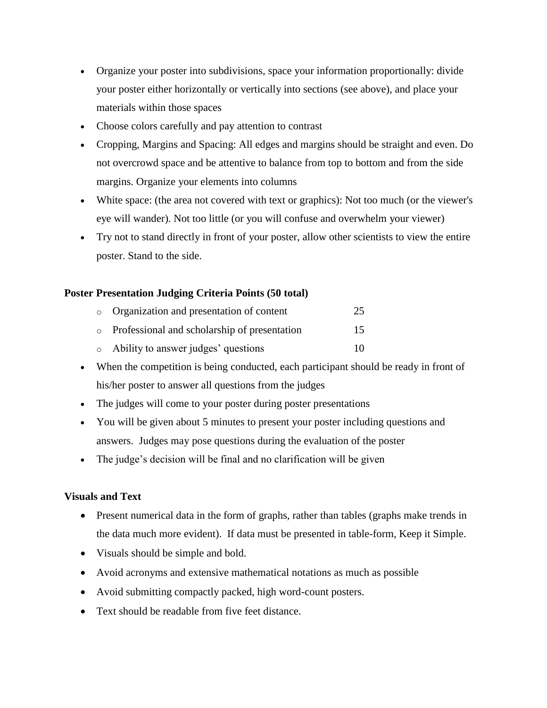- Organize your poster into subdivisions, space your information proportionally: divide your poster either horizontally or vertically into sections (see above), and place your materials within those spaces
- Choose colors carefully and pay attention to contrast
- Cropping, Margins and Spacing: All edges and margins should be straight and even. Do not overcrowd space and be attentive to balance from top to bottom and from the side margins. Organize your elements into columns
- White space: (the area not covered with text or graphics): Not too much (or the viewer's eye will wander). Not too little (or you will confuse and overwhelm your viewer)
- Try not to stand directly in front of your poster, allow other scientists to view the entire poster. Stand to the side.

#### **Poster Presentation Judging Criteria Points (50 total)**

- o Organization and presentation of content 25 o Professional and scholarship of presentation 15 o Ability to answer judges' questions 10
- When the competition is being conducted, each participant should be ready in front of his/her poster to answer all questions from the judges
- The judges will come to your poster during poster presentations
- You will be given about 5 minutes to present your poster including questions and answers. Judges may pose questions during the evaluation of the poster
- The judge's decision will be final and no clarification will be given

#### **Visuals and Text**

- Present numerical data in the form of graphs, rather than tables (graphs make trends in the data much more evident). If data must be presented in table-form, Keep it Simple.
- Visuals should be simple and bold.
- Avoid acronyms and extensive mathematical notations as much as possible
- Avoid submitting compactly packed, high word-count posters.
- Text should be readable from five feet distance.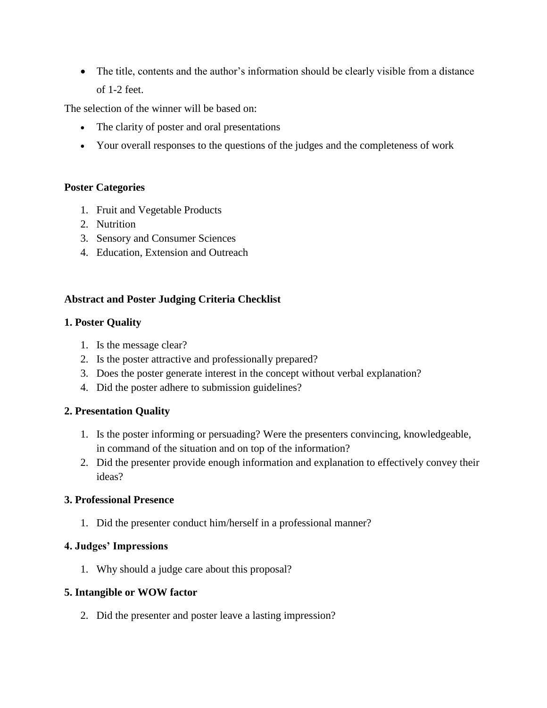• The title, contents and the author's information should be clearly visible from a distance of 1-2 feet.

The selection of the winner will be based on:

- The clarity of poster and oral presentations
- Your overall responses to the questions of the judges and the completeness of work

#### **Poster Categories**

- 1. Fruit and Vegetable Products
- 2. Nutrition
- 3. Sensory and Consumer Sciences
- 4. Education, Extension and Outreach

#### **Abstract and Poster Judging Criteria Checklist**

#### **1. Poster Quality**

- 1. Is the message clear?
- 2. Is the poster attractive and professionally prepared?
- 3. Does the poster generate interest in the concept without verbal explanation?
- 4. Did the poster adhere to submission guidelines?

#### **2. Presentation Quality**

- 1. Is the poster informing or persuading? Were the presenters convincing, knowledgeable, in command of the situation and on top of the information?
- 2. Did the presenter provide enough information and explanation to effectively convey their ideas?

#### **3. Professional Presence**

1. Did the presenter conduct him/herself in a professional manner?

#### **4. Judges' Impressions**

1. Why should a judge care about this proposal?

#### **5. Intangible or WOW factor**

2. Did the presenter and poster leave a lasting impression?